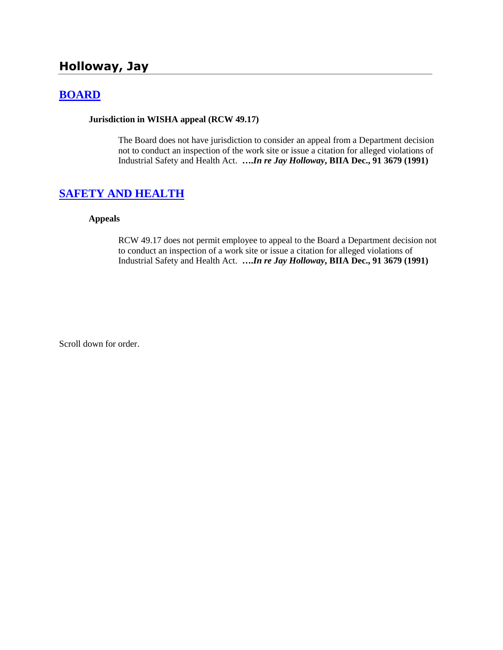# **Holloway, Jay**

## **[BOARD](http://www.biia.wa.gov/SDSubjectIndex.html#BOARD)**

#### **Jurisdiction in WISHA appeal (RCW 49.17)**

The Board does not have jurisdiction to consider an appeal from a Department decision not to conduct an inspection of the work site or issue a citation for alleged violations of Industrial Safety and Health Act. **….***In re Jay Holloway***, BIIA Dec., 91 3679 (1991)** 

### **[SAFETY AND HEALTH](http://www.biia.wa.gov/SDSubjectIndex.html#SAFETY_AND_HEALTH)**

#### **Appeals**

RCW 49.17 does not permit employee to appeal to the Board a Department decision not to conduct an inspection of a work site or issue a citation for alleged violations of Industrial Safety and Health Act. **….***In re Jay Holloway***, BIIA Dec., 91 3679 (1991)**

Scroll down for order.